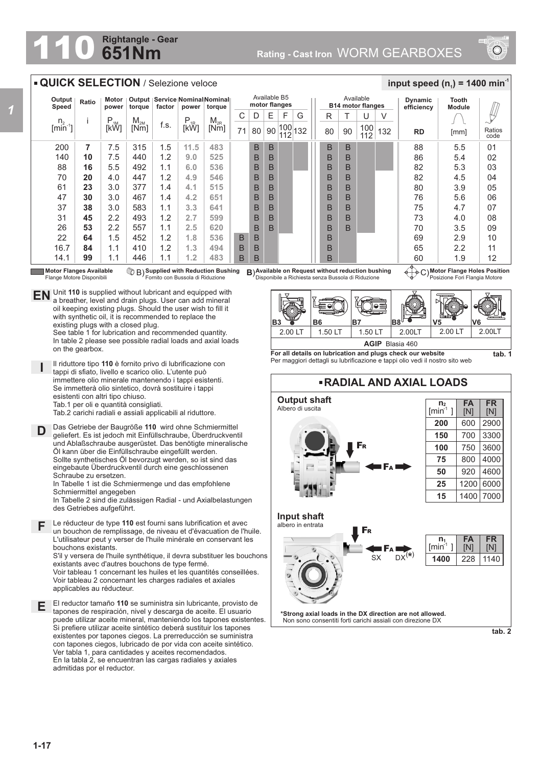## **651Nm Rightangle - Gear**



## **QUICK SELECTION** / Selezione veloce

| Output<br>Speed                                        | Ratio | Motor<br>power   | Output<br>torque | factor | power                                | Service Nominal Nominal<br>torque |    |    | Available B5 | motor flanges |     |    |    | Available<br><b>B14 motor flanges</b> |     | <b>Dynamic</b><br>efficiency | Tooth<br><b>Module</b> |                |
|--------------------------------------------------------|-------|------------------|------------------|--------|--------------------------------------|-----------------------------------|----|----|--------------|---------------|-----|----|----|---------------------------------------|-----|------------------------------|------------------------|----------------|
|                                                        |       |                  | $M_{2M}$         |        |                                      | $M_{2R}$                          | С  | D  | Е            | F             | G   | R  |    | U                                     |     |                              |                        |                |
| $\begin{bmatrix} n_2 \\ \text{min}^{-1} \end{bmatrix}$ |       | $P_{1M}$<br>[kW] | [Nm]             | f.s.   | $P_{1R}$ <sub>1</sub> R <sub>1</sub> | [Nm]                              | 71 | 80 | 90           | 100<br>112    | 132 | 80 | 90 | 100<br>112                            | 132 | <b>RD</b>                    | [mm]                   | Ratios<br>code |
| 200                                                    | 7     | 7.5              | 315              | 1.5    | 11.5                                 | 483                               |    | B  | B            |               |     | B  | B  |                                       |     | 88                           | 5.5                    | 01             |
| 140                                                    | 10    | 7.5              | 440              | 1.2    | 9.0                                  | 525                               |    | B  | B            |               |     | B  | B  |                                       |     | 86                           | 5.4                    | 02             |
| 88                                                     | 16    | 5.5              | 492              | 1.1    | 6.0                                  | 536                               |    | B  | B            |               |     | B  | B  |                                       |     | 82                           | 5.3                    | 03             |
| 70                                                     | 20    | 4.0              | 447              | 1.2    | 4.9                                  | 546                               |    | B  | B            |               |     | B  | B  |                                       |     | 82                           | 4.5                    | 04             |
| 61                                                     | 23    | 3.0              | 377              | 1.4    | 4.1                                  | 515                               |    | B  | B            |               |     | B  | B  |                                       |     | 80                           | 3.9                    | 05             |
| 47                                                     | 30    | 3.0              | 467              | 1.4    | 4.2                                  | 651                               |    | B  | B            |               |     | B  | B  |                                       |     | 76                           | 5.6                    | 06             |
| 37                                                     | 38    | 3.0              | 583              | 1.1    | 3.3                                  | 641                               |    | B  | B            |               |     | B  | B  |                                       |     | 75                           | 4.7                    | 07             |
| 31                                                     | 45    | 2.2              | 493              | 1.2    | 2.7                                  | 599                               |    | B  | B            |               |     | B  | B  |                                       |     | 73                           | 4.0                    | 08             |
| 26                                                     | 53    | 2.2              | 557              | 1.1    | 2.5                                  | 620                               |    | B  | B            |               |     | B  | B  |                                       |     | 70                           | 3.5                    | 09             |
| 22                                                     | 64    | 1.5              | 452              | 1.2    | 1.8                                  | 536                               | B  | B  |              |               |     | B  |    |                                       |     | 69                           | 2.9                    | 10             |
| 16.7                                                   | 84    | 1.1              | 410              | 1.2    | 1.3                                  | 494                               | B  | B  |              |               |     | B  |    |                                       |     | 65                           | 2.2                    | 11             |
| 14.1                                                   | 99    | 1.1              | 446              | 1.1    | 1.2                                  | 483                               | B  | B  |              |               |     | B  |    |                                       |     | 60                           | 1.9                    | 12             |

**Motor Flanges Available** Flange Motore Disponibili

on the gearbox.

**D**

**I**

**Supplied with Reduction Bushing** Fornito con Bussola di Riduzione B) **B**)

**EN** Unit 110 is supplied without lubricant and equipped with a breather, level and drain plugs. User can add mineral

existing plugs with a closed plug.

esistenti con altri tipo chiuso. Tab.1 per oli e quantità consigliati.

Schraube zu ersetzen.

Schmiermittel angegeben

des Getriebes aufgeführt.

bouchons existants.

a breather, level and drain plugs. User can add mineral oil keeping existing plugs. Should the user wish to fill it with synthetic oil, it is recommended to replace the

See table 1 for lubrication and recommended quantity. In table 2 please see possible radial loads and axial loads

Il riduttore tipo **110** è fornito privo di lubrificazione con tappi di sfiato, livello e scarico olio. L'utente può immettere olio minerale mantenendo i tappi esistenti. Se immetterà olio sintetico, dovrà sostituire i tappi

Tab.2 carichi radiali e assiali applicabili al riduttore. Das Getriebe der Baugröße **110** wird ohne Schmiermittel geliefert. Es ist jedoch mit Einfüllschraube, Überdruckventil und Ablaßschraube ausgerüstet. Das benötigte mineralische Öl kann über die Einfüllschraube eingefüllt werden. Sollte synthetisches Öl bevorzugt werden, so ist sind das eingebaute Überdruckventil durch eine geschlossenen

In Tabelle 1 ist die Schmiermenge und das empfohlene

Le réducteur de type **110** est fourni sans lubrification et avec **F** un bouchon de remplissage, de niveau et d'évacuation de l'huile. L'utilisateur peut y verser de l'huile minérale en conservant les

existants avec d'autres bouchons de type fermé.

In Tabelle 2 sind die zulässigen Radial - und Axialbelastungen

El reductor tamaño **110** se suministra sin lubricante, provisto de tapones de respiración, nivel y descarga de aceite. El usuario puede utilizar aceite mineral, manteniendo los tapones existentes. Si prefiere utilizar aceite sintético deberá sustituir los tapones existentes por tapones ciegos. La prerreducción se suministra con tapones ciegos, lubricado de por vida con aceite sintético. Ver tabla 1, para cantidades y aceites recomendados. En la tabla 2, se encuentran las cargas radiales y axiales

S'il y versera de l'huile synthétique, il devra substituer les bouchons

Voir tableau 1 concernant les huiles et les quantités conseillées. Voir tableau 2 concernant les charges radiales et axiales

**Available on Request without reduction bushing** Disponibile a Richiesta senza Bussola di Riduzione

**Motor Flange Holes Position** C) Posizione Fori Flangia Motore

 $\frac{1}{2}$  **input speed (n**<sub>1</sub>) = 1400 min<sup>-1</sup>



**For all details on lubrication and plugs check our website**  Per maggiori dettagli su lubrificazione e tappi olio vedi il nostro sito web **tab. 1**

## **RADIAL AND AXIAL LOADS**



**\*Strong axial loads in the DX direction are not allowed.** Non sono consentiti forti carichi assiali con direzione DX

**tab. 2**

## *1*

**1-17**

**E**

admitidas por el reductor.

applicables au réducteur.